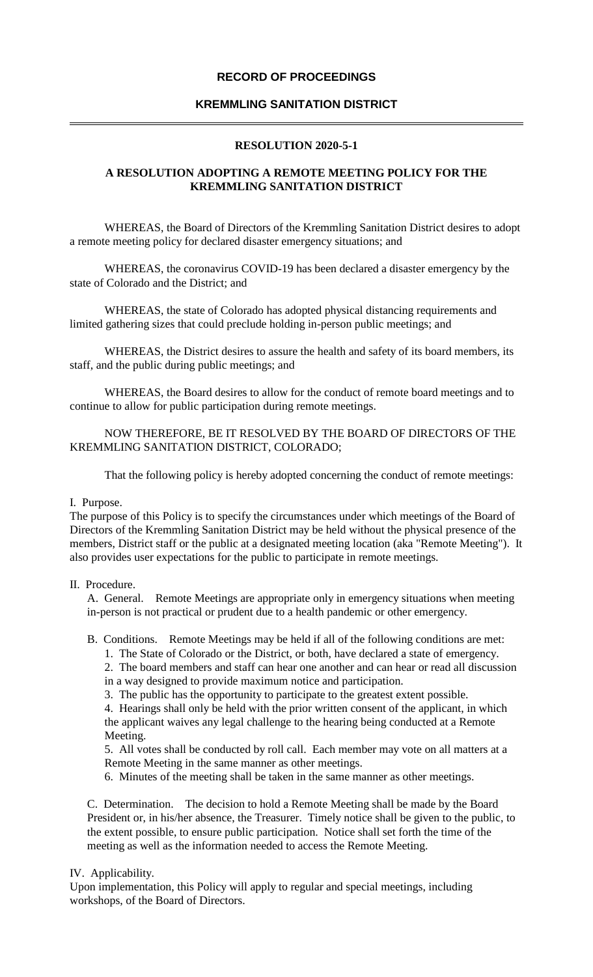# **RECORD OF PROCEEDINGS**

# **KREMMLING SANITATION DISTRICT**

## **RESOLUTION 2020-5-1**

# **A RESOLUTION ADOPTING A REMOTE MEETING POLICY FOR THE KREMMLING SANITATION DISTRICT**

WHEREAS, the Board of Directors of the Kremmling Sanitation District desires to adopt a remote meeting policy for declared disaster emergency situations; and

WHEREAS, the coronavirus COVID-19 has been declared a disaster emergency by the state of Colorado and the District; and

WHEREAS, the state of Colorado has adopted physical distancing requirements and limited gathering sizes that could preclude holding in-person public meetings; and

WHEREAS, the District desires to assure the health and safety of its board members, its staff, and the public during public meetings; and

WHEREAS, the Board desires to allow for the conduct of remote board meetings and to continue to allow for public participation during remote meetings.

## NOW THEREFORE, BE IT RESOLVED BY THE BOARD OF DIRECTORS OF THE KREMMLING SANITATION DISTRICT, COLORADO;

That the following policy is hereby adopted concerning the conduct of remote meetings:

#### I. Purpose.

The purpose of this Policy is to specify the circumstances under which meetings of the Board of Directors of the Kremmling Sanitation District may be held without the physical presence of the members, District staff or the public at a designated meeting location (aka "Remote Meeting"). It also provides user expectations for the public to participate in remote meetings.

## II. Procedure.

A. General. Remote Meetings are appropriate only in emergency situations when meeting in-person is not practical or prudent due to a health pandemic or other emergency.

- B. Conditions. Remote Meetings may be held if all of the following conditions are met:
	- 1. The State of Colorado or the District, or both, have declared a state of emergency.

2. The board members and staff can hear one another and can hear or read all discussion in a way designed to provide maximum notice and participation.

3. The public has the opportunity to participate to the greatest extent possible.

4. Hearings shall only be held with the prior written consent of the applicant, in which the applicant waives any legal challenge to the hearing being conducted at a Remote Meeting.

5. All votes shall be conducted by roll call. Each member may vote on all matters at a Remote Meeting in the same manner as other meetings.

6. Minutes of the meeting shall be taken in the same manner as other meetings.

C. Determination. The decision to hold a Remote Meeting shall be made by the Board President or, in his/her absence, the Treasurer. Timely notice shall be given to the public, to the extent possible, to ensure public participation. Notice shall set forth the time of the meeting as well as the information needed to access the Remote Meeting.

#### IV. Applicability.

Upon implementation, this Policy will apply to regular and special meetings, including workshops, of the Board of Directors.